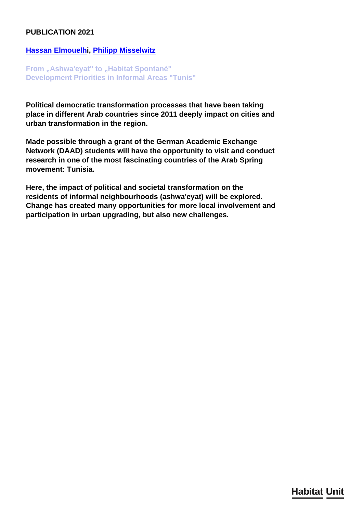## <span id="page-0-0"></span>**PUBLICATION 2021**

## **[Hassan Elmouelhi](/en/team/hassan-elmouelhi/), [Philipp Misselwitz](/en/team/philipp-misselwitz/)**

**From "Ashwa'eyat" to "Habitat Spontané" Development Priorities in Informal Areas "Tunis"**

**Political democratic transformation processes that have been taking place in different Arab countries since 2011 deeply impact on cities and urban transformation in the region.**

**Made possible through a grant of the German Academic Exchange Network (DAAD) students will have the opportunity to visit and conduct research in one of the most fascinating countries of the Arab Spring movement: Tunisia.**

**Here, the impact of political and societal transformation on the residents of informal neighbourhoods (ashwa'eyat) will be explored. Change has created many opportunities for more local involvement and participation in urban upgrading, but also new challenges.**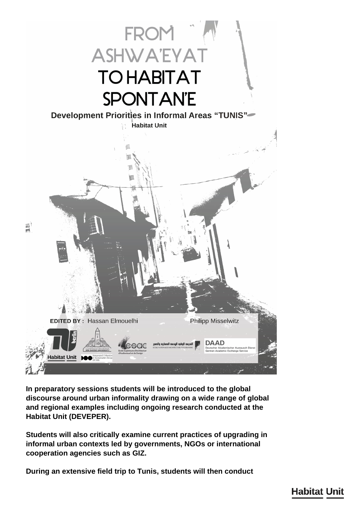

**In preparatory sessions students will be introduced to the global discourse around urban informality drawing on a wide range of global and regional examples including ongoing research conducted at the Habitat Unit (DEVEPER).**

**Students will also critically examine current practices of upgrading in informal urban contexts led by governments, NGOs or international cooperation agencies such as GIZ.**

**During an extensive field trip to Tunis, students will then conduct**

 $\mathbf{B}$ 

## **Habitat Unit**